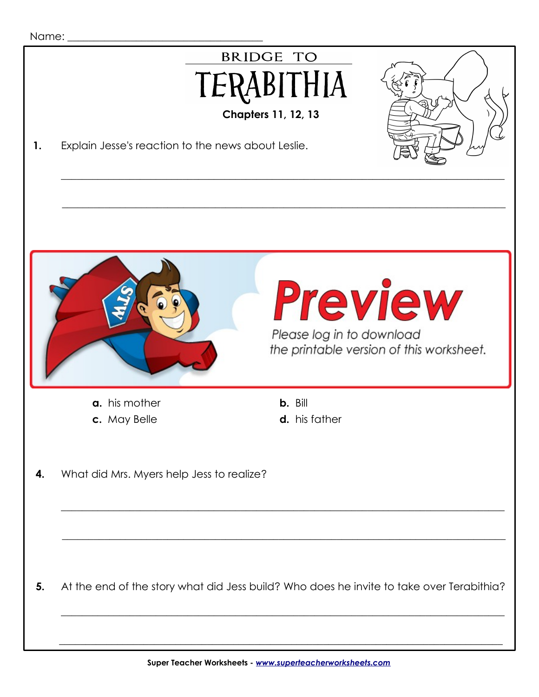| Name: |  |
|-------|--|
|-------|--|